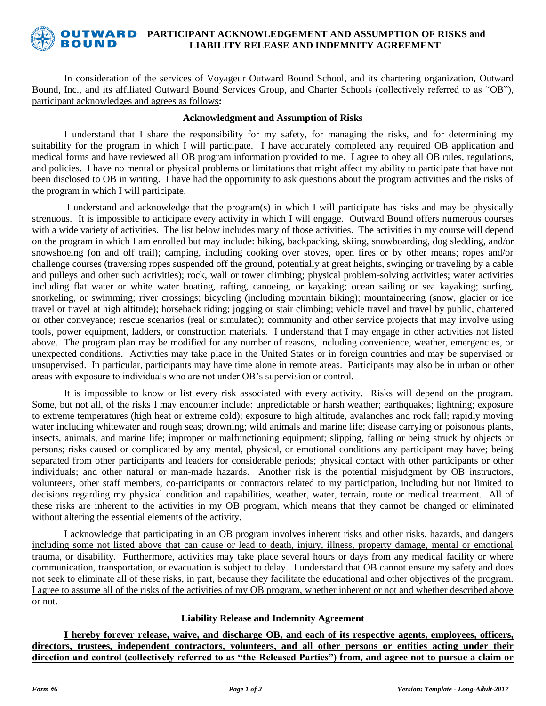

#### **PUTWARD** PARTICIPANT ACKNOWLEDGEMENT AND ASSUMPTION OF RISKS and **BOUND LIABILITY RELEASE AND INDEMNITY AGREEMENT**

In consideration of the services of Voyageur Outward Bound School, and its chartering organization, Outward Bound, Inc., and its affiliated Outward Bound Services Group, and Charter Schools (collectively referred to as "OB"), participant acknowledges and agrees as follows**:**

## **Acknowledgment and Assumption of Risks**

I understand that I share the responsibility for my safety, for managing the risks, and for determining my suitability for the program in which I will participate. I have accurately completed any required OB application and medical forms and have reviewed all OB program information provided to me. I agree to obey all OB rules, regulations, and policies. I have no mental or physical problems or limitations that might affect my ability to participate that have not been disclosed to OB in writing. I have had the opportunity to ask questions about the program activities and the risks of the program in which I will participate.

I understand and acknowledge that the program(s) in which I will participate has risks and may be physically strenuous. It is impossible to anticipate every activity in which I will engage. Outward Bound offers numerous courses with a wide variety of activities. The list below includes many of those activities. The activities in my course will depend on the program in which I am enrolled but may include: hiking, backpacking, skiing, snowboarding, dog sledding, and/or snowshoeing (on and off trail); camping, including cooking over stoves, open fires or by other means; ropes and/or challenge courses (traversing ropes suspended off the ground, potentially at great heights, swinging or traveling by a cable and pulleys and other such activities); rock, wall or tower climbing; physical problem-solving activities; water activities including flat water or white water boating, rafting, canoeing, or kayaking; ocean sailing or sea kayaking; surfing, snorkeling, or swimming; river crossings; bicycling (including mountain biking); mountaineering (snow, glacier or ice travel or travel at high altitude); horseback riding; jogging or stair climbing; vehicle travel and travel by public, chartered or other conveyance; rescue scenarios (real or simulated); community and other service projects that may involve using tools, power equipment, ladders, or construction materials. I understand that I may engage in other activities not listed above. The program plan may be modified for any number of reasons, including convenience, weather, emergencies, or unexpected conditions. Activities may take place in the United States or in foreign countries and may be supervised or unsupervised. In particular, participants may have time alone in remote areas. Participants may also be in urban or other areas with exposure to individuals who are not under OB's supervision or control.

It is impossible to know or list every risk associated with every activity. Risks will depend on the program. Some, but not all, of the risks I may encounter include: unpredictable or harsh weather; earthquakes; lightning; exposure to extreme temperatures (high heat or extreme cold); exposure to high altitude, avalanches and rock fall; rapidly moving water including whitewater and rough seas; drowning; wild animals and marine life; disease carrying or poisonous plants, insects, animals, and marine life; improper or malfunctioning equipment; slipping, falling or being struck by objects or persons; risks caused or complicated by any mental, physical, or emotional conditions any participant may have; being separated from other participants and leaders for considerable periods; physical contact with other participants or other individuals; and other natural or man-made hazards. Another risk is the potential misjudgment by OB instructors, volunteers, other staff members, co-participants or contractors related to my participation, including but not limited to decisions regarding my physical condition and capabilities, weather, water, terrain, route or medical treatment. All of these risks are inherent to the activities in my OB program, which means that they cannot be changed or eliminated without altering the essential elements of the activity.

I acknowledge that participating in an OB program involves inherent risks and other risks, hazards, and dangers including some not listed above that can cause or lead to death, injury, illness, property damage, mental or emotional trauma, or disability. Furthermore, activities may take place several hours or days from any medical facility or where communication, transportation, or evacuation is subject to delay. I understand that OB cannot ensure my safety and does not seek to eliminate all of these risks, in part, because they facilitate the educational and other objectives of the program. I agree to assume all of the risks of the activities of my OB program, whether inherent or not and whether described above or not.

## **Liability Release and Indemnity Agreement**

**I hereby forever release, waive, and discharge OB, and each of its respective agents, employees, officers, directors, trustees, independent contractors, volunteers, and all other persons or entities acting under their direction and control (collectively referred to as "the Released Parties") from, and agree not to pursue a claim or**